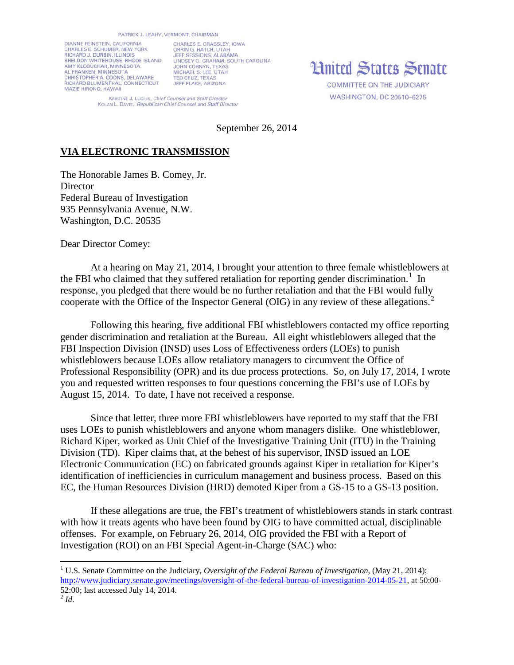DIANNE FEINSTEIN, CALIFORNIA CHARLES E. SCHUMER, NEW YORK RICHARD J. DURBIN, ILLINOIS<br>SHELDON WHITEHOUSE, RHODE ISLAND LINDSEY O. GRAHAM, SOUTH CAROLINA AMY KLOBUCHAR, MINNESOTA AL FRANKEN, MINNESOTA CHRISTOPHER A. COONS, DELAWARE<br>RICHARD BLUMENTHAL, CONNECTICUT MAZIE HIRONO, HAWAII

CHARLES E. GRASSLEY, JOWA ORRIN G. HATCH, UTAH **JOHN CORNYN, TEXAS** MICHAEL S. LEE, UTAH JEFF FLAKE, ARIZONA

**Hnited States Senate** 

**COMMITTEE ON THE JUDICIARY** WASHINGTON, DC 20510-6275

KRISTINE J. LUCIUS, Chief Counsel and Staff Director KOLAN L. DAVIS, Republican Chief Counsel and Staff Director

September 26, 2014

## **VIA ELECTRONIC TRANSMISSION**

The Honorable James B. Comey, Jr. **Director** Federal Bureau of Investigation 935 Pennsylvania Avenue, N.W. Washington, D.C. 20535

Dear Director Comey:

At a hearing on May 21, 2014, I brought your attention to three female whistleblowers at the FBI who claimed that they suffered retaliation for reporting gender discrimination.<sup>[1](#page-0-0)</sup> In response, you pledged that there would be no further retaliation and that the FBI would fully cooperate with the Office of the Inspector General (OIG) in any review of these allegations.<sup>[2](#page-0-1)</sup>

Following this hearing, five additional FBI whistleblowers contacted my office reporting gender discrimination and retaliation at the Bureau. All eight whistleblowers alleged that the FBI Inspection Division (INSD) uses Loss of Effectiveness orders (LOEs) to punish whistleblowers because LOEs allow retaliatory managers to circumvent the Office of Professional Responsibility (OPR) and its due process protections. So, on July 17, 2014, I wrote you and requested written responses to four questions concerning the FBI's use of LOEs by August 15, 2014. To date, I have not received a response.

Since that letter, three more FBI whistleblowers have reported to my staff that the FBI uses LOEs to punish whistleblowers and anyone whom managers dislike. One whistleblower, Richard Kiper, worked as Unit Chief of the Investigative Training Unit (ITU) in the Training Division (TD). Kiper claims that, at the behest of his supervisor, INSD issued an LOE Electronic Communication (EC) on fabricated grounds against Kiper in retaliation for Kiper's identification of inefficiencies in curriculum management and business process. Based on this EC, the Human Resources Division (HRD) demoted Kiper from a GS-15 to a GS-13 position.

If these allegations are true, the FBI's treatment of whistleblowers stands in stark contrast with how it treats agents who have been found by OIG to have committed actual, disciplinable offenses. For example, on February 26, 2014, OIG provided the FBI with a Report of Investigation (ROI) on an FBI Special Agent-in-Charge (SAC) who:

<span id="page-0-1"></span><span id="page-0-0"></span><sup>&</sup>lt;sup>1</sup> U.S. Senate Committee on the Judiciary, *Oversight of the Federal Bureau of Investigation*, (May 21, 2014); [http://www.judiciary.senate.gov/meetings/oversight-of-the-federal-bureau-of-investigation-2014-05-21,](http://www.judiciary.senate.gov/meetings/oversight-of-the-federal-bureau-of-investigation-2014-05-21) at 50:00- 52:00; last accessed July 14, 2014. 2 *Id*.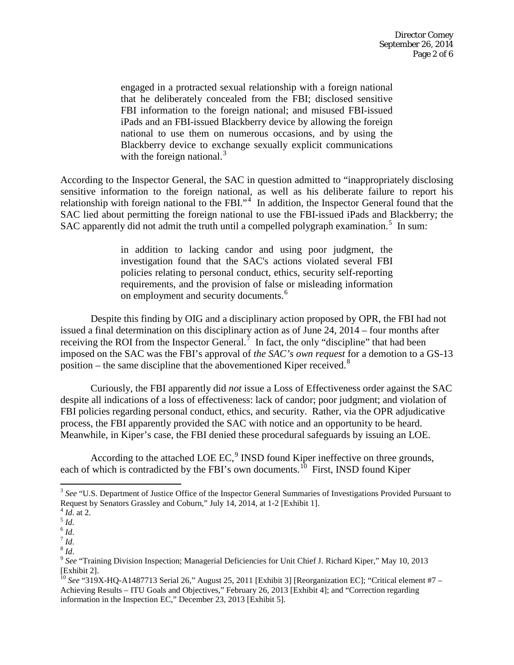engaged in a protracted sexual relationship with a foreign national that he deliberately concealed from the FBI; disclosed sensitive FBI information to the foreign national; and misused FBI-issued iPads and an FBI-issued Blackberry device by allowing the foreign national to use them on numerous occasions, and by using the Blackberry device to exchange sexually explicit communications with the foreign national. $3$ 

According to the Inspector General, the SAC in question admitted to "inappropriately disclosing sensitive information to the foreign national, as well as his deliberate failure to report his relationship with foreign national to the FBI."<sup>[4](#page-1-1)</sup> In addition, the Inspector General found that the SAC lied about permitting the foreign national to use the FBI-issued iPads and Blackberry; the SAC apparently did not admit the truth until a compelled polygraph examination.<sup>[5](#page-1-2)</sup> In sum:

> in addition to lacking candor and using poor judgment, the investigation found that the SAC's actions violated several FBI policies relating to personal conduct, ethics, security self-reporting requirements, and the provision of false or misleading information on employment and security documents.<sup>[6](#page-1-3)</sup>

Despite this finding by OIG and a disciplinary action proposed by OPR, the FBI had not issued a final determination on this disciplinary action as of June 24, 2014 – four months after receiving the ROI from the Inspector General.<sup>[7](#page-1-4)</sup> In fact, the only "discipline" that had been imposed on the SAC was the FBI's approval of *the SAC's own request* for a demotion to a GS-13 position – the same discipline that the abovementioned Kiper received.<sup>[8](#page-1-5)</sup>

Curiously, the FBI apparently did *not* issue a Loss of Effectiveness order against the SAC despite all indications of a loss of effectiveness: lack of candor; poor judgment; and violation of FBI policies regarding personal conduct, ethics, and security. Rather, via the OPR adjudicative process, the FBI apparently provided the SAC with notice and an opportunity to be heard. Meanwhile, in Kiper's case, the FBI denied these procedural safeguards by issuing an LOE.

According to the attached LOE EC, $9$  INSD found Kiper ineffective on three grounds, each of which is contradicted by the FBI's own documents.<sup>[10](#page-1-7)</sup> First, INSD found Kiper

<span id="page-1-0"></span><sup>&</sup>lt;sup>3</sup> See "U.S. Department of Justice Office of the Inspector General Summaries of Investigations Provided Pursuant to Request by Senators Grassley and Coburn," July 14, 2014, at 1-2 [Exhibit 1].

<span id="page-1-2"></span>

<span id="page-1-3"></span>

<span id="page-1-5"></span><span id="page-1-4"></span>

<span id="page-1-6"></span>

<span id="page-1-1"></span><sup>&</sup>lt;sup>4</sup> Id. at 2.<br>
<sup>5</sup> Id.<br>
<sup>6</sup> Id.<br>
<sup>8</sup> Id.<br>
<sup>8</sup> Id.<br>
<sup>8</sup> See "Training Division Inspection; Managerial Deficiencies for Unit Chief J. Richard Kiper," May 10, 2013 [Exhibit 2].

<span id="page-1-7"></span><sup>&</sup>lt;sup>10</sup> See "319X-HQ-A1487713 Serial 26," August 25, 2011 [Exhibit 3] [Reorganization EC]; "Critical element #7 – Achieving Results – ITU Goals and Objectives," February 26, 2013 [Exhibit 4]; and "Correction regarding information in the Inspection EC," December 23, 2013 [Exhibit 5].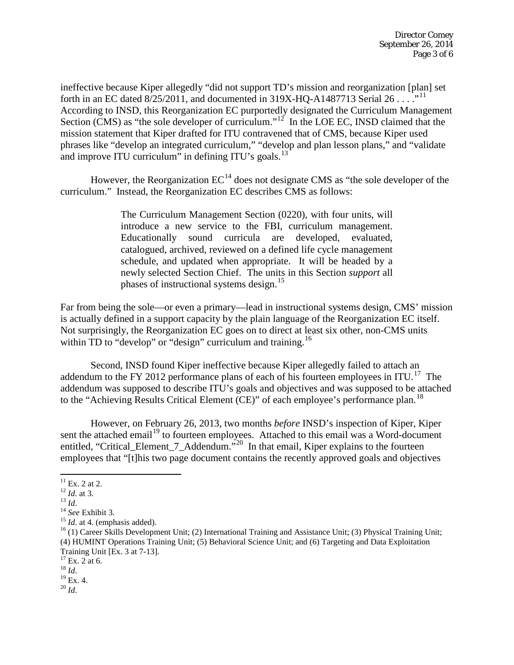ineffective because Kiper allegedly "did not support TD's mission and reorganization [plan] set forth in an EC dated  $8/25/2011$ , and documented in 319X-HQ-A1487713 Serial 26 . . . .<sup>11</sup> According to INSD, this Reorganization EC purportedly designated the Curriculum Management Section (CMS) as "the sole developer of curriculum."<sup>12</sup> In the LOE EC, INSD claimed that the mission statement that Kiper drafted for ITU contravened that of CMS, because Kiper used phrases like "develop an integrated curriculum," "develop and plan lesson plans," and "validate and improve ITU curriculum" in defining ITU's goals.<sup>[13](#page-2-2)</sup>

However, the Reorganization  $EC^{14}$  $EC^{14}$  $EC^{14}$  does not designate CMS as "the sole developer of the curriculum." Instead, the Reorganization EC describes CMS as follows:

> The Curriculum Management Section (0220), with four units, will introduce a new service to the FBI, curriculum management. Educationally sound curricula are developed, evaluated, catalogued, archived, reviewed on a defined life cycle management schedule, and updated when appropriate. It will be headed by a newly selected Section Chief. The units in this Section *support* all phases of instructional systems design.<sup>[15](#page-2-4)</sup>

Far from being the sole—or even a primary—lead in instructional systems design, CMS' mission is actually defined in a support capacity by the plain language of the Reorganization EC itself. Not surprisingly, the Reorganization EC goes on to direct at least six other, non-CMS units within TD to "develop" or "design" curriculum and training.<sup>16</sup>

Second, INSD found Kiper ineffective because Kiper allegedly failed to attach an addendum to the FY 2012 performance plans of each of his fourteen employees in ITU.<sup>[17](#page-2-6)</sup> The addendum was supposed to describe ITU's goals and objectives and was supposed to be attached to the "Achieving Results Critical Element (CE)" of each employee's performance plan.<sup>[18](#page-2-7)</sup>

However, on February 26, 2013, two months *before* INSD's inspection of Kiper, Kiper sent the attached email<sup>[19](#page-2-8)</sup> to fourteen employees. Attached to this email was a Word-document entitled, "Critical\_Element\_7\_Addendum."<sup>20</sup> In that email, Kiper explains to the fourteen employees that "[t]his two page document contains the recently approved goals and objectives

<span id="page-2-9"></span><span id="page-2-8"></span>

<span id="page-2-2"></span>

<span id="page-2-3"></span>

<span id="page-2-5"></span><span id="page-2-4"></span>

<span id="page-2-1"></span><span id="page-2-0"></span><sup>&</sup>lt;sup>11</sup> Ex. 2 at 2.<br>
<sup>12</sup> *Id.* at 3.<br>
<sup>13</sup> *Id.*<br>
<sup>14</sup> *See* Exhibit 3.<br>
<sup>15</sup> *Id.* at 4. (emphasis added).<br>
<sup>15</sup> *Id.* at 4. (emphasis added).<br>
<sup>15</sup> (1) Career Skills Development Unit; (2) International Training and Assist (4) HUMINT Operations Training Unit; (5) Behavioral Science Unit; and (6) Targeting and Data Exploitation Training Unit [Ex. 3 at 7-13].<br><sup>17</sup> Ex. 2 at 6.<br><sup>18</sup> *Id*.<br><sup>19</sup> Ex. 4.<br><sup>20</sup> *Id* 

<span id="page-2-7"></span><span id="page-2-6"></span>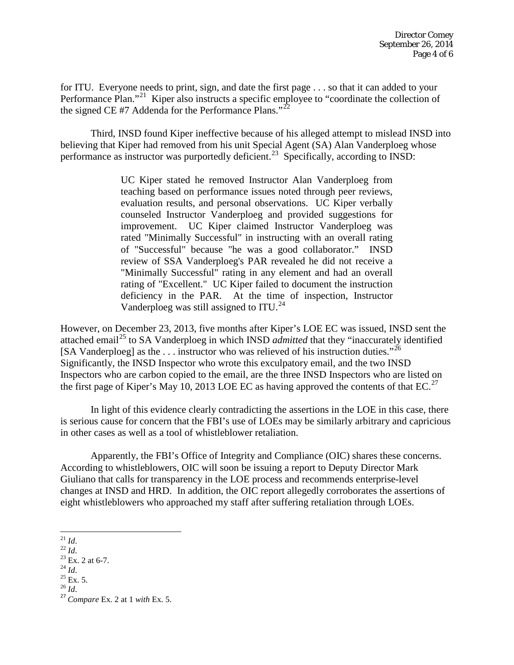for ITU. Everyone needs to print, sign, and date the first page . . . so that it can added to your Performance Plan."<sup>21</sup> Kiper also instructs a specific employee to "coordinate the collection of the signed CE #7 Addenda for the Performance Plans."<sup>22</sup>

Third, INSD found Kiper ineffective because of his alleged attempt to mislead INSD into believing that Kiper had removed from his unit Special Agent (SA) Alan Vanderploeg whose performance as instructor was purportedly deficient.<sup>23</sup> Specifically, according to INSD:

> UC Kiper stated he removed Instructor Alan Vanderploeg from teaching based on performance issues noted through peer reviews, evaluation results, and personal observations. UC Kiper verbally counseled Instructor Vanderploeg and provided suggestions for improvement. UC Kiper claimed Instructor Vanderploeg was rated "Minimally Successful" in instructing with an overall rating of "Successful" because "he was a good collaborator." INSD review of SSA Vanderploeg's PAR revealed he did not receive a "Minimally Successful" rating in any element and had an overall rating of "Excellent." UC Kiper failed to document the instruction deficiency in the PAR. At the time of inspection, Instructor Vanderploeg was still assigned to ITU.<sup>[24](#page-3-3)</sup>

However, on December 23, 2013, five months after Kiper's LOE EC was issued, INSD sent the attached email<sup>[25](#page-3-4)</sup> to SA Vanderploeg in which INSD *admitted* that they "inaccurately identified [SA Vanderploeg] as the  $\dots$  instructor who was relieved of his instruction duties."<sup>26</sup> Significantly, the INSD Inspector who wrote this exculpatory email, and the two INSD Inspectors who are carbon copied to the email, are the three INSD Inspectors who are listed on the first page of Kiper's May 10, 2013 LOE EC as having approved the contents of that  $EC^{27}$  $EC^{27}$  $EC^{27}$ .

In light of this evidence clearly contradicting the assertions in the LOE in this case, there is serious cause for concern that the FBI's use of LOEs may be similarly arbitrary and capricious in other cases as well as a tool of whistleblower retaliation.

Apparently, the FBI's Office of Integrity and Compliance (OIC) shares these concerns. According to whistleblowers, OIC will soon be issuing a report to Deputy Director Mark Giuliano that calls for transparency in the LOE process and recommends enterprise-level changes at INSD and HRD. In addition, the OIC report allegedly corroborates the assertions of eight whistleblowers who approached my staff after suffering retaliation through LOEs.

- 
- <span id="page-3-4"></span><span id="page-3-3"></span>

<span id="page-3-2"></span>

<span id="page-3-6"></span><span id="page-3-5"></span>

<span id="page-3-1"></span><span id="page-3-0"></span><sup>21</sup> *Id*. <sup>22</sup> *Id*. <sup>23</sup> Ex. 2 at 6-7. 24 *Id*. <sup>25</sup> Ex. 5. 26 *Id*. <sup>27</sup> *Compare* Ex. 2 at 1 *with* Ex. 5.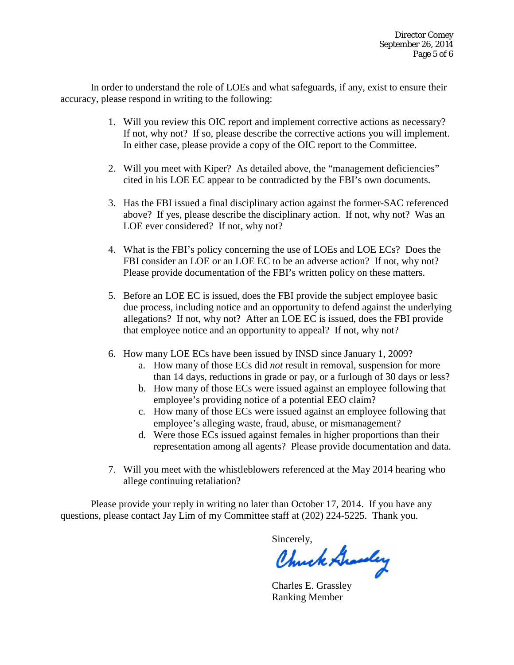In order to understand the role of LOEs and what safeguards, if any, exist to ensure their accuracy, please respond in writing to the following:

- 1. Will you review this OIC report and implement corrective actions as necessary? If not, why not? If so, please describe the corrective actions you will implement. In either case, please provide a copy of the OIC report to the Committee.
- 2. Will you meet with Kiper? As detailed above, the "management deficiencies" cited in his LOE EC appear to be contradicted by the FBI's own documents.
- 3. Has the FBI issued a final disciplinary action against the former-SAC referenced above? If yes, please describe the disciplinary action. If not, why not? Was an LOE ever considered? If not, why not?
- 4. What is the FBI's policy concerning the use of LOEs and LOE ECs? Does the FBI consider an LOE or an LOE EC to be an adverse action? If not, why not? Please provide documentation of the FBI's written policy on these matters.
- 5. Before an LOE EC is issued, does the FBI provide the subject employee basic due process, including notice and an opportunity to defend against the underlying allegations? If not, why not? After an LOE EC is issued, does the FBI provide that employee notice and an opportunity to appeal? If not, why not?
- 6. How many LOE ECs have been issued by INSD since January 1, 2009?
	- a. How many of those ECs did *not* result in removal, suspension for more than 14 days, reductions in grade or pay, or a furlough of 30 days or less?
	- b. How many of those ECs were issued against an employee following that employee's providing notice of a potential EEO claim?
	- c. How many of those ECs were issued against an employee following that employee's alleging waste, fraud, abuse, or mismanagement?
	- d. Were those ECs issued against females in higher proportions than their representation among all agents? Please provide documentation and data.
- 7. Will you meet with the whistleblowers referenced at the May 2014 hearing who allege continuing retaliation?

Please provide your reply in writing no later than October 17, 2014. If you have any questions, please contact Jay Lim of my Committee staff at (202) 224-5225. Thank you.

Sincerely,

Chuck Grandey

Charles E. Grassley Ranking Member